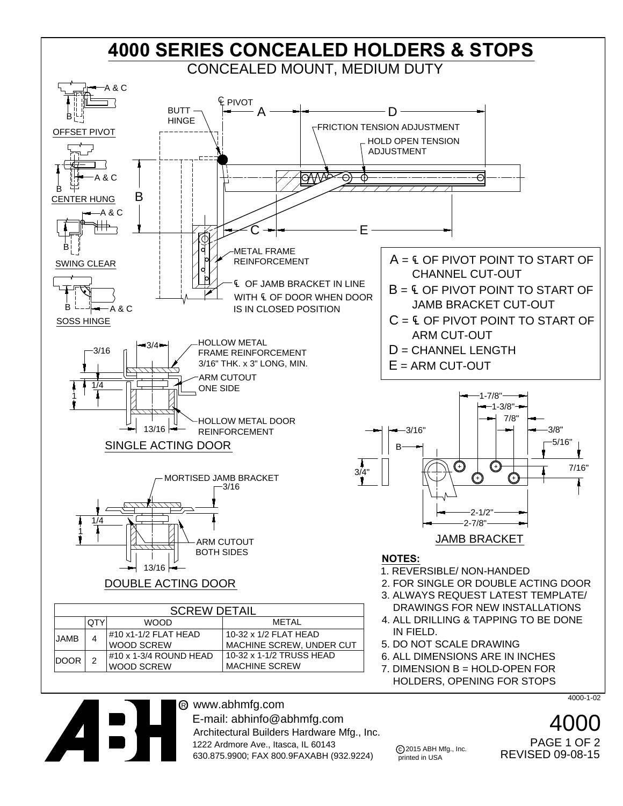

® www.abhmfg.com E-mail: abhinfo@abhmfg.com Architectural Builders Hardware Mfg., Inc. 1222 Ardmore Ave., Itasca, IL 60143 630.875.9900; FAX 800.9FAXABH (932.9224)

4000-1-02

4000 REVISED 09-08-15 PAGE 1 OF 2

c 2015 ABH Mfg., Inc. printed in USA